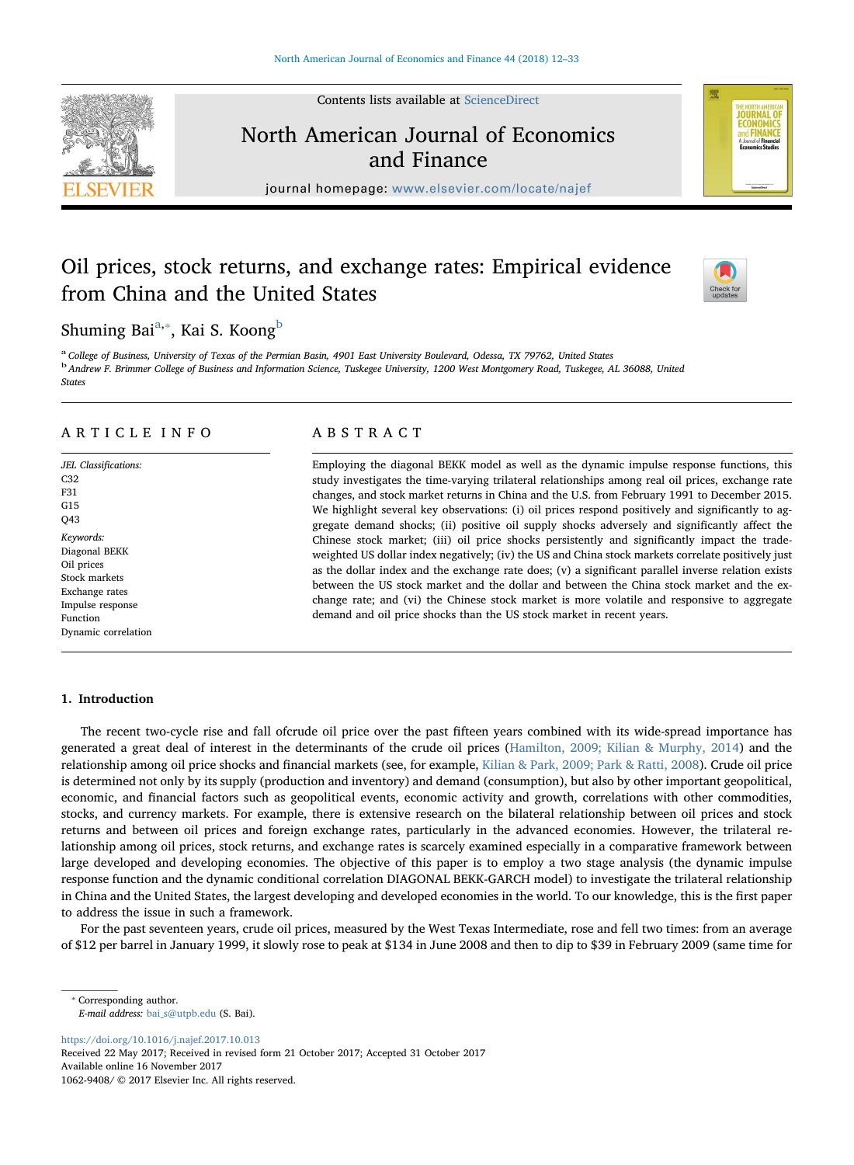Contents lists available at [ScienceDirect](http://www.sciencedirect.com/science/journal/10629408)



journal homepage: [www.elsevier.com/locate/najef](https://www.elsevier.com/locate/najef)

# Oil prices, stock returns, and exchange rates: Empirical evidence from China and the United States

## Shuming Bai<sup>a,\*</sup>, Kai S. Koong<sup>b</sup>

<sup>a</sup> College of Business, University of Texas of the Permian Basin, 4901 East University Boulevard, Odessa, TX 79762, United States <sup>b</sup> Andrew F. Brimmer College of Business and Information Science, Tuskegee University, 1200 West Montgomery Road, Tuskegee, AL 36088, United States

## ARTICLE INFO

JEL Classifications: C32 F31 G15 Q43 Keywords: Diagonal BEKK Oil prices Stock markets Exchange rates Impulse response Function Dynamic correlation

#### 1. Introduction

### ABSTRACT

Employing the diagonal BEKK model as well as the dynamic impulse response functions, this study investigates the time-varying trilateral relationships among real oil prices, exchange rate changes, and stock market returns in China and the U.S. from February 1991 to December 2015. We highlight several key observations: (i) oil prices respond positively and significantly to aggregate demand shocks; (ii) positive oil supply shocks adversely and significantly affect the Chinese stock market; (iii) oil price shocks persistently and significantly impact the tradeweighted US dollar index negatively; (iv) the US and China stock markets correlate positively just as the dollar index and the exchange rate does; (v) a significant parallel inverse relation exists between the US stock market and the dollar and between the China stock market and the exchange rate; and (vi) the Chinese stock market is more volatile and responsive to aggregate demand and oil price shocks than the US stock market in recent years.

The recent two-cycle rise and fall ofcrude oil price over the past fifteen years combined with its wide-spread importance has generated a great deal of interest in the determinants of the crude oil prices (Hamilton, 2009; Kilian & Murphy, 2014) and the relationship among oil price shocks and financial markets (see, for example, Kilian & Park, 2009; Park & Ratti, 2008). Crude oil price is determined not only by its supply (production and inventory) and demand (consumption), but also by other important geopolitical, economic, and financial factors such as geopolitical events, economic activity and growth, correlations with other commodities, stocks, and currency markets. For example, there is extensive research on the bilateral relationship between oil prices and stock returns and between oil prices and foreign exchange rates, particularly in the advanced economies. However, the trilateral relationship among oil prices, stock returns, and exchange rates is scarcely examined especially in a comparative framework between large developed and developing economies. The objective of this paper is to employ a two stage analysis (the dynamic impulse response function and the dynamic conditional correlation DIAGONAL BEKK-GARCH model) to investigate the trilateral relationship in China and the United States, the largest developing and developed economies in the world. To our knowledge, this is the first paper to address the issue in such a framework.

For the past seventeen years, crude oil prices, measured by the West Texas Intermediate, rose and fell two times: from an average of \$12 per barrel in January 1999, it slowly rose to peak at \$134 in June 2008 and then to dip to \$39 in February 2009 (same time for

⁎ Corresponding author. E-mail address: [bai\\_s@utpb.edu](mailto:bai_s@utpb.edu) (S. Bai).

<https://doi.org/10.1016/j.najef.2017.10.013> Received 22 May 2017; Received in revised form 21 October 2017; Accepted 31 October 2017 Available online 16 November 2017 1062-9408/ © 2017 Elsevier Inc. All rights reserved.





Check fo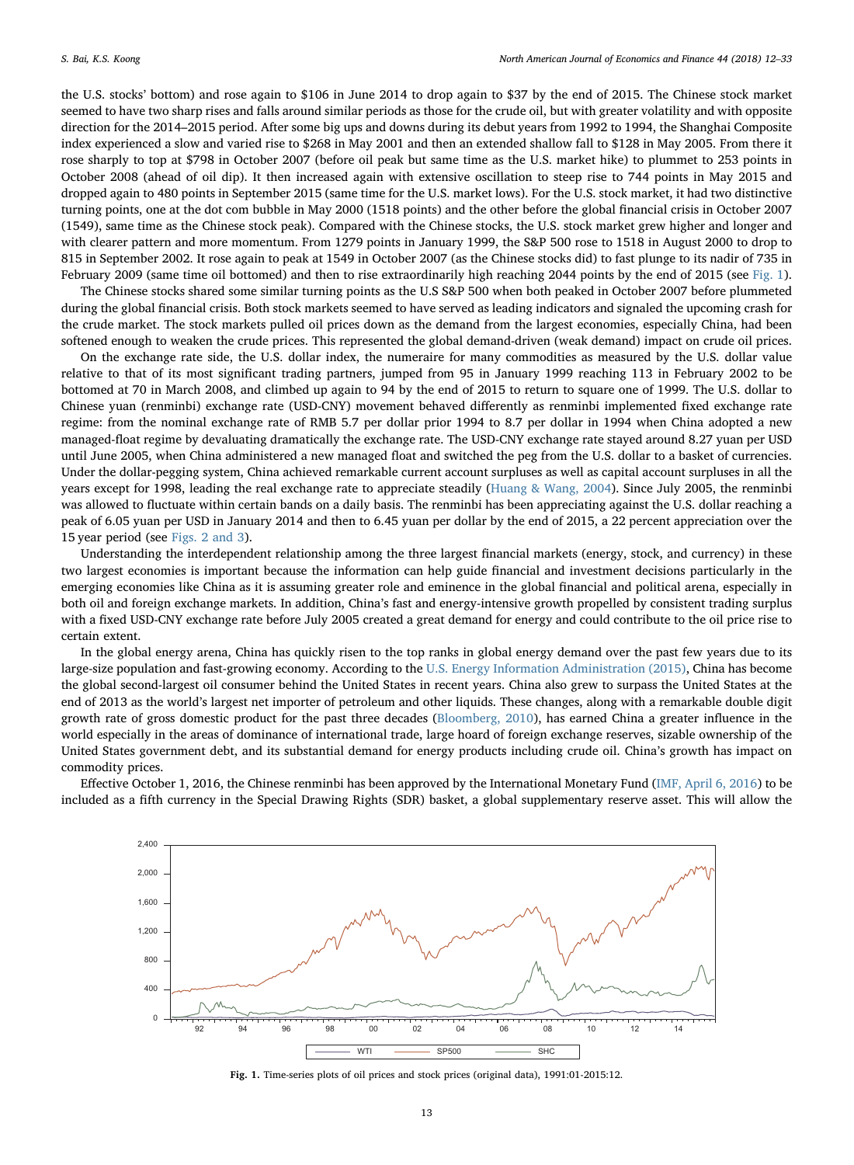the U.S. stocks' bottom) and rose again to \$106 in June 2014 to drop again to \$37 by the end of 2015. The Chinese stock market seemed to have two sharp rises and falls around similar periods as those for the crude oil, but with greater volatility and with opposite direction for the 2014–2015 period. After some big ups and downs during its debut years from 1992 to 1994, the Shanghai Composite index experienced a slow and varied rise to \$268 in May 2001 and then an extended shallow fall to \$128 in May 2005. From there it rose sharply to top at \$798 in October 2007 (before oil peak but same time as the U.S. market hike) to plummet to 253 points in October 2008 (ahead of oil dip). It then increased again with extensive oscillation to steep rise to 744 points in May 2015 and dropped again to 480 points in September 2015 (same time for the U.S. market lows). For the U.S. stock market, it had two distinctive turning points, one at the dot com bubble in May 2000 (1518 points) and the other before the global financial crisis in October 2007 (1549), same time as the Chinese stock peak). Compared with the Chinese stocks, the U.S. stock market grew higher and longer and with clearer pattern and more momentum. From 1279 points in January 1999, the S&P 500 rose to 1518 in August 2000 to drop to 815 in September 2002. It rose again to peak at 1549 in October 2007 (as the Chinese stocks did) to fast plunge to its nadir of 735 in February 2009 (same time oil bottomed) and then to rise extraordinarily high reaching 2044 points by the end of 2015 (see Fig. 1).

The Chinese stocks shared some similar turning points as the U.S S&P 500 when both peaked in October 2007 before plummeted during the global financial crisis. Both stock markets seemed to have served as leading indicators and signaled the upcoming crash for the crude market. The stock markets pulled oil prices down as the demand from the largest economies, especially China, had been softened enough to weaken the crude prices. This represented the global demand-driven (weak demand) impact on crude oil prices.

On the exchange rate side, the U.S. dollar index, the numeraire for many commodities as measured by the U.S. dollar value relative to that of its most significant trading partners, jumped from 95 in January 1999 reaching 113 in February 2002 to be bottomed at 70 in March 2008, and climbed up again to 94 by the end of 2015 to return to square one of 1999. The U.S. dollar to Chinese yuan (renminbi) exchange rate (USD-CNY) movement behaved differently as renminbi implemented fixed exchange rate regime: from the nominal exchange rate of RMB 5.7 per dollar prior 1994 to 8.7 per dollar in 1994 when China adopted a new managed-float regime by devaluating dramatically the exchange rate. The USD-CNY exchange rate stayed around 8.27 yuan per USD until June 2005, when China administered a new managed float and switched the peg from the U.S. dollar to a basket of currencies. Under the dollar-pegging system, China achieved remarkable current account surpluses as well as capital account surpluses in all the years except for 1998, leading the real exchange rate to appreciate steadily (Huang & Wang, 2004). Since July 2005, the renminbi was allowed to fluctuate within certain bands on a daily basis. The renminbi has been appreciating against the U.S. dollar reaching a peak of 6.05 yuan per USD in January 2014 and then to 6.45 yuan per dollar by the end of 2015, a 22 percent appreciation over the 15 year period (see Figs. 2 and 3).

Understanding the interdependent relationship among the three largest financial markets (energy, stock, and currency) in these two largest economies is important because the information can help guide financial and investment decisions particularly in the emerging economies like China as it is assuming greater role and eminence in the global financial and political arena, especially in both oil and foreign exchange markets. In addition, China's fast and energy-intensive growth propelled by consistent trading surplus with a fixed USD-CNY exchange rate before July 2005 created a great demand for energy and could contribute to the oil price rise to certain extent.

In the global energy arena, China has quickly risen to the top ranks in global energy demand over the past few years due to its large-size population and fast-growing economy. According to the U.S. Energy Information Administration (2015), China has become the global second-largest oil consumer behind the United States in recent years. China also grew to surpass the United States at the end of 2013 as the world's largest net importer of petroleum and other liquids. These changes, along with a remarkable double digit growth rate of gross domestic product for the past three decades (Bloomberg, 2010), has earned China a greater influence in the world especially in the areas of dominance of international trade, large hoard of foreign exchange reserves, sizable ownership of the United States government debt, and its substantial demand for energy products including crude oil. China's growth has impact on commodity prices.

Effective October 1, 2016, the Chinese renminbi has been approved by the International Monetary Fund (IMF, April 6, 2016) to be included as a fifth currency in the Special Drawing Rights (SDR) basket, a global supplementary reserve asset. This will allow the



Fig. 1. Time-series plots of oil prices and stock prices (original data), 1991:01-2015:12.